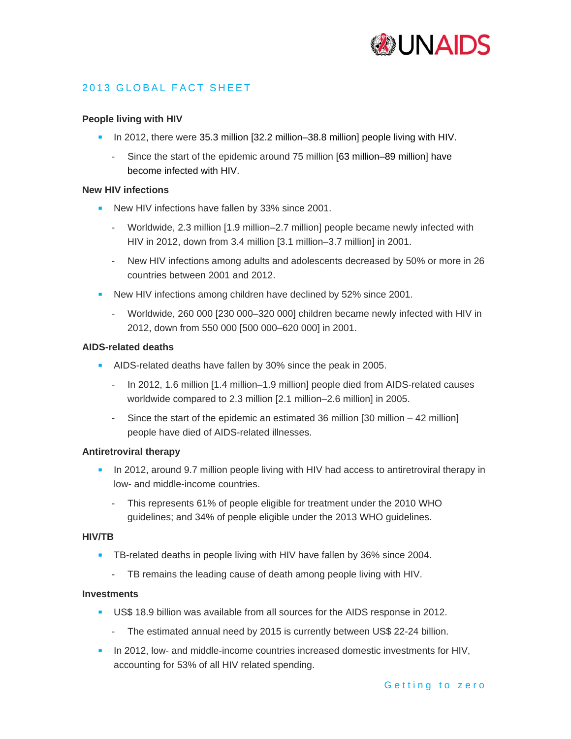

# 2013 GLOBAL FACT SHEET

## **People living with HIV**

- In 2012, there were 35.3 million [32.2 million–38.8 million] people living with HIV.
	- Since the start of the epidemic around 75 million [63 million–89 million] have become infected with HIV.

## **New HIV infections**

- New HIV infections have fallen by 33% since 2001.
	- Worldwide, 2.3 million [1.9 million–2.7 million] people became newly infected with HIV in 2012, down from 3.4 million [3.1 million–3.7 million] in 2001.
	- New HIV infections among adults and adolescents decreased by 50% or more in 26 countries between 2001 and 2012.
- **New HIV infections among children have declined by 52% since 2001.** 
	- Worldwide, 260 000 [230 000-320 000] children became newly infected with HIV in 2012, down from 550 000 [500 000–620 000] in 2001.

#### **AIDS-related deaths**

- AIDS-related deaths have fallen by 30% since the peak in 2005.
	- In 2012, 1.6 million [1.4 million–1.9 million] people died from AIDS-related causes worldwide compared to 2.3 million [2.1 million–2.6 million] in 2005.
	- Since the start of the epidemic an estimated 36 million  $[30 \text{ million} 42 \text{ million}]$ people have died of AIDS-related illnesses.

#### **Antiretroviral therapy**

- In 2012, around 9.7 million people living with HIV had access to antiretroviral therapy in low- and middle-income countries.
	- This represents 61% of people eligible for treatment under the 2010 WHO guidelines; and 34% of people eligible under the 2013 WHO guidelines.

#### **HIV/TB**

- **TB-related deaths in people living with HIV have fallen by 36% since 2004.** 
	- TB remains the leading cause of death among people living with HIV.

#### **Investments**

- US\$ 18.9 billion was available from all sources for the AIDS response in 2012.
	- The estimated annual need by 2015 is currently between US\$ 22-24 billion.
- In 2012, low- and middle-income countries increased domestic investments for HIV, accounting for 53% of all HIV related spending.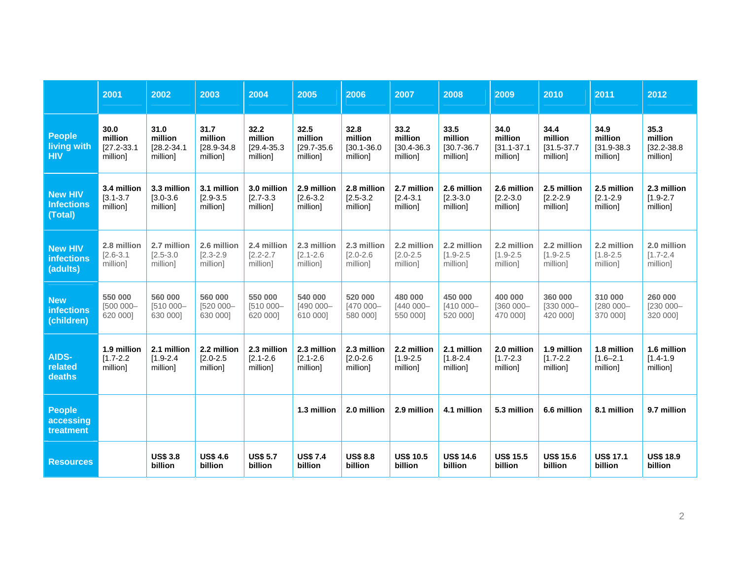|                                            | 2001                                           | 2002                                           | 2003                                           | 2004                                           | 2005                                           | 2006                                           | 2007                                           | 2008                                           | 2009                                           | 2010                                           | 2011                                           | 2012                                           |
|--------------------------------------------|------------------------------------------------|------------------------------------------------|------------------------------------------------|------------------------------------------------|------------------------------------------------|------------------------------------------------|------------------------------------------------|------------------------------------------------|------------------------------------------------|------------------------------------------------|------------------------------------------------|------------------------------------------------|
| <b>People</b><br>living with<br><b>HIV</b> | 30.0<br>million<br>$[27.2 - 33.1]$<br>million] | 31.0<br>million<br>$[28.2 - 34.1]$<br>million] | 31.7<br>million<br>$[28.9 - 34.8]$<br>million] | 32.2<br>million<br>$[29.4 - 35.3]$<br>million] | 32.5<br>million<br>$[29.7 - 35.6]$<br>million] | 32.8<br>million<br>$[30.1 - 36.0]$<br>million] | 33.2<br>million<br>$[30.4 - 36.3]$<br>million] | 33.5<br>million<br>$[30.7 - 36.7]$<br>million] | 34.0<br>million<br>$[31.1 - 37.1]$<br>million] | 34.4<br>million<br>$[31.5 - 37.7]$<br>million] | 34.9<br>million<br>$[31.9 - 38.3]$<br>million] | 35.3<br>million<br>$[32.2 - 38.8]$<br>million] |
| <b>New HIV</b>                             | 3.4 million                                    | 3.3 million                                    | 3.1 million                                    | 3.0 million                                    | 2.9 million                                    | 2.8 million                                    | 2.7 million                                    | 2.6 million                                    | 2.6 million                                    | 2.5 million                                    | 2.5 million                                    | 2.3 million                                    |
| <b>Infections</b>                          | $[3.1 - 3.7]$                                  | $[3.0 - 3.6]$                                  | $[2.9 - 3.5]$                                  | $[2.7 - 3.3]$                                  | $[2.6 - 3.2]$                                  | $[2.5 - 3.2]$                                  | $[2.4 - 3.1]$                                  | $[2.3 - 3.0]$                                  | $[2.2 - 3.0]$                                  | $[2.2 - 2.9]$                                  | $[2.1 - 2.9]$                                  | $[1.9 - 2.7]$                                  |
| (Total)                                    | million]                                       | million]                                       | million]                                       | million]                                       | million]                                       | million]                                       | million]                                       | million]                                       | million]                                       | million]                                       | million]                                       | million]                                       |
| <b>New HIV</b>                             | 2.8 million                                    | 2.7 million                                    | 2.6 million                                    | 2.4 million                                    | 2.3 million                                    | 2.3 million                                    | 2.2 million                                    | 2.2 million                                    | 2.2 million                                    | 2.2 million                                    | 2.2 million                                    | 2.0 million                                    |
| <b>infections</b>                          | $[2.6 - 3.1]$                                  | $[2.5 - 3.0]$                                  | $[2.3 - 2.9]$                                  | $[2.2 - 2.7]$                                  | $[2.1 - 2.6]$                                  | $[2.0 - 2.6]$                                  | $[2.0 - 2.5]$                                  | $[1.9 - 2.5]$                                  | $[1.9 - 2.5]$                                  | $[1.9 - 2.5]$                                  | $[1.8 - 2.5]$                                  | $[1.7 - 2.4]$                                  |
| (adults)                                   | million]                                       | million]                                       | million]                                       | million]                                       | million]                                       | million1                                       | million]                                       | million]                                       | million]                                       | million]                                       | million]                                       | million]                                       |
| <b>New</b>                                 | 550 000                                        | 560 000                                        | 560 000                                        | 550 000                                        | 540 000                                        | 520 000                                        | 480 000                                        | 450 000                                        | 400 000                                        | 360 000                                        | 310 000                                        | 260 000                                        |
| <b>infections</b>                          | [500 000-                                      | [510 000-                                      | [520 000-                                      | [510 000-                                      | [490 000-                                      | [470 000-                                      | [440 000-                                      | [410 000-                                      | [360 000-                                      | $[330 000 -$                                   | [280 000-                                      | [230 000-                                      |
| (children)                                 | 620 000]                                       | 630 000]                                       | 630 0001                                       | 620 000]                                       | 610 000]                                       | 580 000]                                       | 550 0001                                       | 520 000]                                       | 470 0001                                       | 420 000]                                       | 370 000]                                       | 320 000]                                       |
| AIDS-                                      | 1.9 million                                    | 2.1 million                                    | 2.2 million                                    | 2.3 million                                    | 2.3 million                                    | 2.3 million                                    | 2.2 million                                    | 2.1 million                                    | 2.0 million                                    | 1.9 million                                    | 1.8 million                                    | 1.6 million                                    |
| related                                    | $[1.7 - 2.2]$                                  | $[1.9 - 2.4]$                                  | $[2.0 - 2.5]$                                  | $[2.1 - 2.6]$                                  | $[2.1 - 2.6]$                                  | $[2.0 - 2.6]$                                  | $[1.9 - 2.5]$                                  | $[1.8 - 2.4]$                                  | $[1.7 - 2.3]$                                  | $[1.7 - 2.2]$                                  | $[1.6 - 2.1]$                                  | $[1.4 - 1.9]$                                  |
| deaths                                     | million]                                       | million]                                       | million]                                       | million]                                       | million]                                       | million]                                       | million]                                       | million]                                       | million]                                       | million]                                       | million]                                       | million]                                       |
| <b>People</b><br>accessing<br>treatment    |                                                |                                                |                                                |                                                | 1.3 million                                    | 2.0 million                                    | 2.9 million                                    | 4.1 million                                    | 5.3 million                                    | 6.6 million                                    | 8.1 million                                    | 9.7 million                                    |
| <b>Resources</b>                           |                                                | <b>US\$ 3.8</b><br>billion                     | <b>US\$ 4.6</b><br>billion                     | <b>US\$ 5.7</b><br>billion                     | <b>US\$7.4</b><br>billion                      | <b>US\$ 8.8</b><br>billion                     | <b>US\$ 10.5</b><br>billion                    | <b>US\$ 14.6</b><br>billion                    | <b>US\$ 15.5</b><br>billion                    | <b>US\$ 15.6</b><br>billion                    | <b>US\$ 17.1</b><br>billion                    | <b>US\$ 18.9</b><br>billion                    |